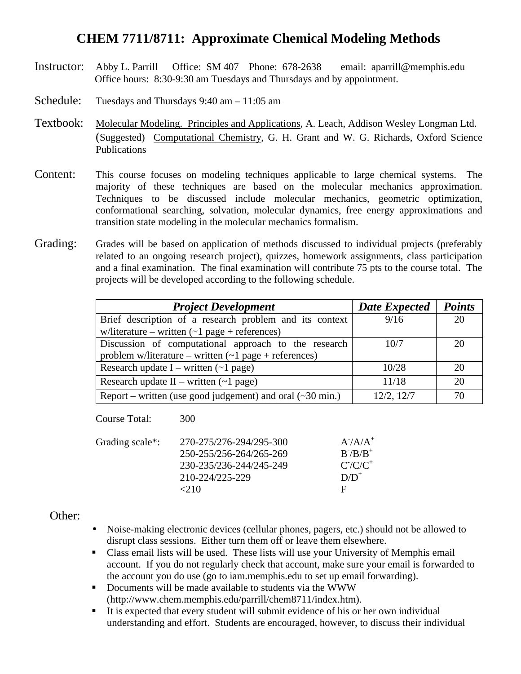## **CHEM 7711/8711: Approximate Chemical Modeling Methods**

- Instructor: Abby L. Parrill Office: SM 407 Phone: 678-2638 email: aparrill@memphis.edu Office hours: 8:30-9:30 am Tuesdays and Thursdays and by appointment.
- Schedule: Tuesdays and Thursdays 9:40 am 11:05 am
- Textbook: Molecular Modeling. Principles and Applications, A. Leach, Addison Wesley Longman Ltd. (Suggested) Computational Chemistry, G. H. Grant and W. G. Richards, Oxford Science Publications
- Content: This course focuses on modeling techniques applicable to large chemical systems. The majority of these techniques are based on the molecular mechanics approximation. Techniques to be discussed include molecular mechanics, geometric optimization, conformational searching, solvation, molecular dynamics, free energy approximations and transition state modeling in the molecular mechanics formalism.
- Grading: Grades will be based on application of methods discussed to individual projects (preferably related to an ongoing research project), quizzes, homework assignments, class participation and a final examination. The final examination will contribute 75 pts to the course total. The projects will be developed according to the following schedule.

| <b>Project Development</b>                                              | <b>Date Expected</b> | <b>Points</b> |
|-------------------------------------------------------------------------|----------------------|---------------|
| Brief description of a research problem and its context                 | 9/16                 | 20            |
| w/literature – written $(-1$ page + references)                         |                      |               |
| Discussion of computational approach to the research                    | 10/7                 | 20            |
| problem w/literature – written $(-1$ page + references)                 |                      |               |
| Research update $I$ – written $(-1$ page)                               | 10/28                | 20            |
| Research update $II$ – written (~1 page)                                | 11/18                | 20            |
| Report – written (use good judgement) and oral $(\sim 30 \text{ min.})$ | 12/2, 12/7           | 70            |

Course Total: 300

| Grading scale*: | 270-275/276-294/295-300 | $A^7A/A^+$  |
|-----------------|-------------------------|-------------|
|                 | 250-255/256-264/265-269 | $B^-/B/B^+$ |
|                 | 230-235/236-244/245-249 | $C/C/C^+$   |
|                 | 210-224/225-229         | $D/D^+$     |
|                 | $<$ 2.10                | н           |
|                 |                         |             |

#### Other:

- Noise-making electronic devices (cellular phones, pagers, etc.) should not be allowed to disrupt class sessions. Either turn them off or leave them elsewhere.
- Class email lists will be used. These lists will use your University of Memphis email account. If you do not regularly check that account, make sure your email is forwarded to the account you do use (go to iam.memphis.edu to set up email forwarding).
- Documents will be made available to students via the WWW (http://www.chem.memphis.edu/parrill/chem8711/index.htm).
- $\blacksquare$  It is expected that every student will submit evidence of his or her own individual understanding and effort. Students are encouraged, however, to discuss their individual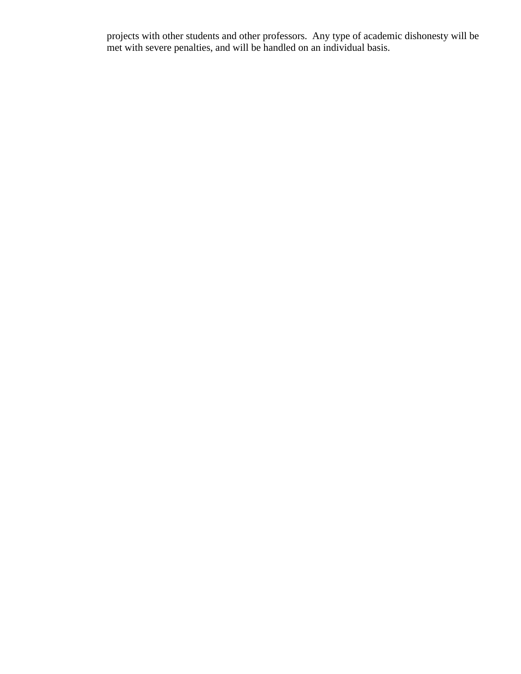projects with other students and other professors. Any type of academic dishonesty will be met with severe penalties, and will be handled on an individual basis.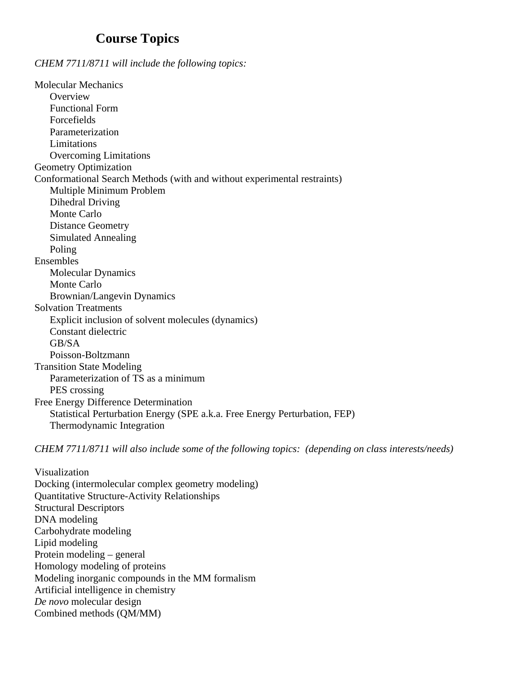### **Course Topics**

*CHEM 7711/8711 will include the following topics:*

Molecular Mechanics **Overview** Functional Form Forcefields Parameterization Limitations Overcoming Limitations Geometry Optimization Conformational Search Methods (with and without experimental restraints) Multiple Minimum Problem Dihedral Driving Monte Carlo Distance Geometry Simulated Annealing Poling Ensembles Molecular Dynamics Monte Carlo Brownian/Langevin Dynamics Solvation Treatments Explicit inclusion of solvent molecules (dynamics) Constant dielectric GB/SA Poisson-Boltzmann Transition State Modeling Parameterization of TS as a minimum PES crossing Free Energy Difference Determination Statistical Perturbation Energy (SPE a.k.a. Free Energy Perturbation, FEP) Thermodynamic Integration

*CHEM 7711/8711 will also include some of the following topics: (depending on class interests/needs)*

Visualization Docking (intermolecular complex geometry modeling) Quantitative Structure-Activity Relationships Structural Descriptors DNA modeling Carbohydrate modeling Lipid modeling Protein modeling – general Homology modeling of proteins Modeling inorganic compounds in the MM formalism Artificial intelligence in chemistry *De novo* molecular design Combined methods (QM/MM)